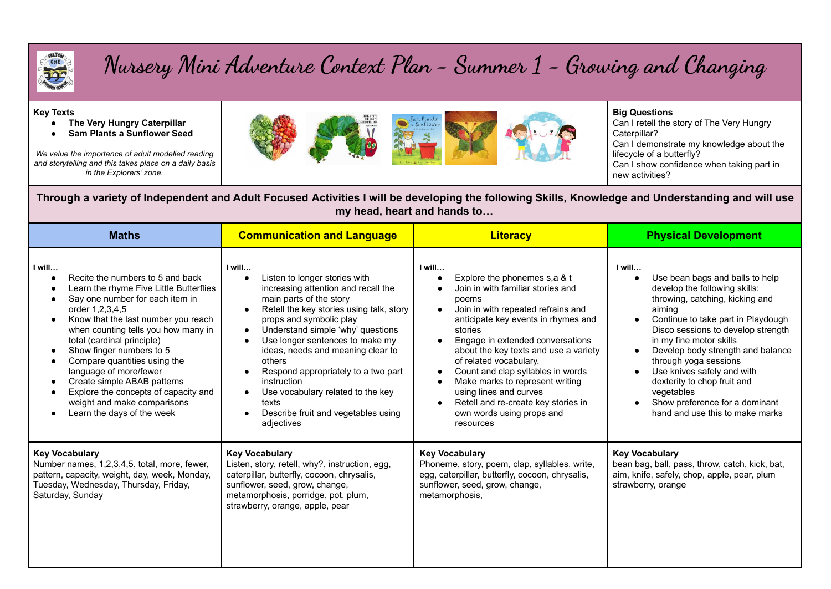

## **Nursery Mini Adventure Context Plan - Summer 1 - Growing and Changing**

## **Key Texts**

- **● The Very Hungry Caterpillar**
- **● Sam Plants a Sunflower Seed**

*We value the importance of adult modelled reading and storytelling and this takes place on a daily basis in the Explorers' zone.*





Can I retell the story of The Very Hungry Caterpillar? Can I demonstrate my knowledge about the lifecycle of a butterfly? Can I show confidence when taking part in new activities?

Through a variety of Independent and Adult Focused Activities I will be developing the following Skills, Knowledge and Understanding and will use **my head, heart and hands to…**

| <b>Maths</b>                                                                                                                                                                                                                                                                                                                                                                                                                                                                      | <b>Communication and Language</b>                                                                                                                                                                                                                                                                                                                                                                                                                                             | <b>Literacy</b>                                                                                                                                                                                                                                                                                                                                                                                                                                                        | <b>Physical Development</b>                                                                                                                                                                                                                                                                                                                                                                                                                  |
|-----------------------------------------------------------------------------------------------------------------------------------------------------------------------------------------------------------------------------------------------------------------------------------------------------------------------------------------------------------------------------------------------------------------------------------------------------------------------------------|-------------------------------------------------------------------------------------------------------------------------------------------------------------------------------------------------------------------------------------------------------------------------------------------------------------------------------------------------------------------------------------------------------------------------------------------------------------------------------|------------------------------------------------------------------------------------------------------------------------------------------------------------------------------------------------------------------------------------------------------------------------------------------------------------------------------------------------------------------------------------------------------------------------------------------------------------------------|----------------------------------------------------------------------------------------------------------------------------------------------------------------------------------------------------------------------------------------------------------------------------------------------------------------------------------------------------------------------------------------------------------------------------------------------|
| I will<br>Recite the numbers to 5 and back<br>Learn the rhyme Five Little Butterflies<br>Say one number for each item in<br>order 1,2,3,4,5<br>Know that the last number you reach<br>when counting tells you how many in<br>total (cardinal principle)<br>Show finger numbers to 5<br>Compare quantities using the<br>language of more/fewer<br>Create simple ABAB patterns<br>Explore the concepts of capacity and<br>weight and make comparisons<br>Learn the days of the week | I will<br>Listen to longer stories with<br>increasing attention and recall the<br>main parts of the story<br>Retell the key stories using talk, story<br>props and symbolic play<br>Understand simple 'why' questions<br>$\bullet$<br>Use longer sentences to make my<br>ideas, needs and meaning clear to<br>others<br>Respond appropriately to a two part<br>instruction<br>Use vocabulary related to the key<br>texts<br>Describe fruit and vegetables using<br>adjectives | I will<br>Explore the phonemes s,a & t<br>Join in with familiar stories and<br>poems<br>Join in with repeated refrains and<br>anticipate key events in rhymes and<br>stories<br>Engage in extended conversations<br>about the key texts and use a variety<br>of related vocabulary.<br>Count and clap syllables in words<br>Make marks to represent writing<br>using lines and curves<br>Retell and re-create key stories in<br>own words using props and<br>resources | I will<br>Use bean bags and balls to help<br>develop the following skills:<br>throwing, catching, kicking and<br>aiming<br>Continue to take part in Playdough<br>Disco sessions to develop strength<br>in my fine motor skills<br>Develop body strength and balance<br>through yoga sessions<br>Use knives safely and with<br>dexterity to chop fruit and<br>vegetables<br>Show preference for a dominant<br>hand and use this to make marks |
| <b>Key Vocabulary</b><br>Number names, 1,2,3,4,5, total, more, fewer,<br>pattern, capacity, weight, day, week, Monday,<br>Tuesday, Wednesday, Thursday, Friday,<br>Saturday, Sunday                                                                                                                                                                                                                                                                                               | <b>Key Vocabulary</b><br>Listen, story, retell, why?, instruction, egg,<br>caterpillar, butterfly, cocoon, chrysalis,<br>sunflower, seed, grow, change,<br>metamorphosis, porridge, pot, plum,<br>strawberry, orange, apple, pear                                                                                                                                                                                                                                             | <b>Key Vocabulary</b><br>Phoneme, story, poem, clap, syllables, write,<br>egg, caterpillar, butterfly, cocoon, chrysalis,<br>sunflower, seed, grow, change,<br>metamorphosis,                                                                                                                                                                                                                                                                                          | <b>Key Vocabulary</b><br>bean bag, ball, pass, throw, catch, kick, bat,<br>aim, knife, safely, chop, apple, pear, plum<br>strawberry, orange                                                                                                                                                                                                                                                                                                 |